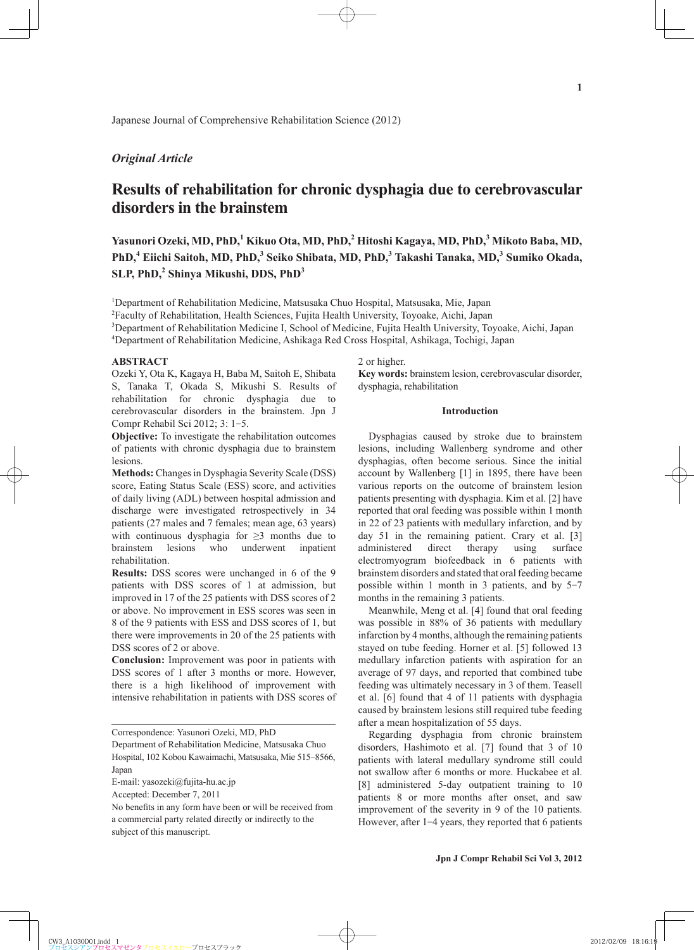Japanese Journal of Comprehensive Rehabilitation Science (2012)

## *Original Article*

# **Results of rehabilitation for chronic dysphagia due to cerebrovascular disorders in the brainstem**

Yasunori Ozeki, MD, PhD,<sup>1</sup> Kikuo Ota, MD, PhD,<sup>2</sup> Hitoshi Kagaya, MD, PhD,<sup>3</sup> Mikoto Baba, MD, PhD,<sup>4</sup> Eiichi Saitoh, MD, PhD,<sup>3</sup> Seiko Shibata, MD, PhD,<sup>3</sup> Takashi Tanaka, MD,<sup>3</sup> Sumiko Okada, **SLP, PhD,<sup>2</sup> Shinya Mikushi, DDS, PhD<sup>3</sup>**

<sup>1</sup>Department of Rehabilitation Medicine, Matsusaka Chuo Hospital, Matsusaka, Mie, Japan

2 Faculty of Rehabilitation, Health Sciences, Fujita Health University, Toyoake, Aichi, Japan

3 Department of Rehabilitation Medicine I, School of Medicine, Fujita Health University, Toyoake, Aichi, Japan

4 Department of Rehabilitation Medicine, Ashikaga Red Cross Hospital, Ashikaga, Tochigi, Japan

### **ABSTRACT**

Ozeki Y, Ota K, Kagaya H, Baba M, Saitoh E, Shibata S, Tanaka T, Okada S, Mikushi S. Results of rehabilitation for chronic dysphagia due to cerebrovascular disorders in the brainstem. Jpn J Compr Rehabil Sci 2012; 3: 1-5.

**Objective:** To investigate the rehabilitation outcomes of patients with chronic dysphagia due to brainstem lesions.

**Methods:** Changes in Dysphagia Severity Scale (DSS) score, Eating Status Scale (ESS) score, and activities of daily living (ADL) between hospital admission and discharge were investigated retrospectively in 34 patients (27 males and 7 females; mean age, 63 years) with continuous dysphagia for  $\geq$ 3 months due to brainstem lesions who underwent inpatient rehabilitation.

**Results:** DSS scores were unchanged in 6 of the 9 patients with DSS scores of 1 at admission, but improved in 17 of the 25 patients with DSS scores of 2 or above. No improvement in ESS scores was seen in 8 of the 9 patients with ESS and DSS scores of 1, but there were improvements in 20 of the 25 patients with DSS scores of 2 or above.

**Conclusion:** Improvement was poor in patients with DSS scores of 1 after 3 months or more. However, there is a high likelihood of improvement with intensive rehabilitation in patients with DSS scores of

Accepted: December 7, 2011

2 or higher.

**Key words:** brainstem lesion, cerebrovascular disorder, dysphagia, rehabilitation

## **Introduction**

Dysphagias caused by stroke due to brainstem lesions, including Wallenberg syndrome and other dysphagias, often become serious. Since the initial account by Wallenberg [1] in 1895, there have been various reports on the outcome of brainstem lesion patients presenting with dysphagia. Kim et al. [2] have reported that oral feeding was possible within 1 month in 22 of 23 patients with medullary infarction, and by day 51 in the remaining patient. Crary et al. [3] administered direct therapy using surface electromyogram biofeedback in 6 patients with brainstem disorders and stated that oral feeding became possible within 1 month in 3 patients, and by 5-7 months in the remaining 3 patients.

Meanwhile, Meng et al. [4] found that oral feeding was possible in 88% of 36 patients with medullary infarction by 4 months, although the remaining patients stayed on tube feeding. Horner et al. [5] followed 13 medullary infarction patients with aspiration for an average of 97 days, and reported that combined tube feeding was ultimately necessary in 3 of them. Teasell et al. [6] found that 4 of 11 patients with dysphagia caused by brainstem lesions still required tube feeding after a mean hospitalization of 55 days.

Regarding dysphagia from chronic brainstem disorders, Hashimoto et al. [7] found that 3 of 10 patients with lateral medullary syndrome still could not swallow after 6 months or more. Huckabee et al. [8] administered 5-day outpatient training to 10 patients 8 or more months after onset, and saw improvement of the severity in 9 of the 10 patients. However, after 1-4 years, they reported that 6 patients

Correspondence: Yasunori Ozeki, MD, PhD

Department of Rehabilitation Medicine, Matsusaka Chuo Hospital, 102 Kobou Kawaimachi, Matsusaka, Mie 515-8566, Japan

E-mail: yasozeki@fujita-hu.ac.jp

No benefits in any form have been or will be received from a commercial party related directly or indirectly to the subject of this manuscript.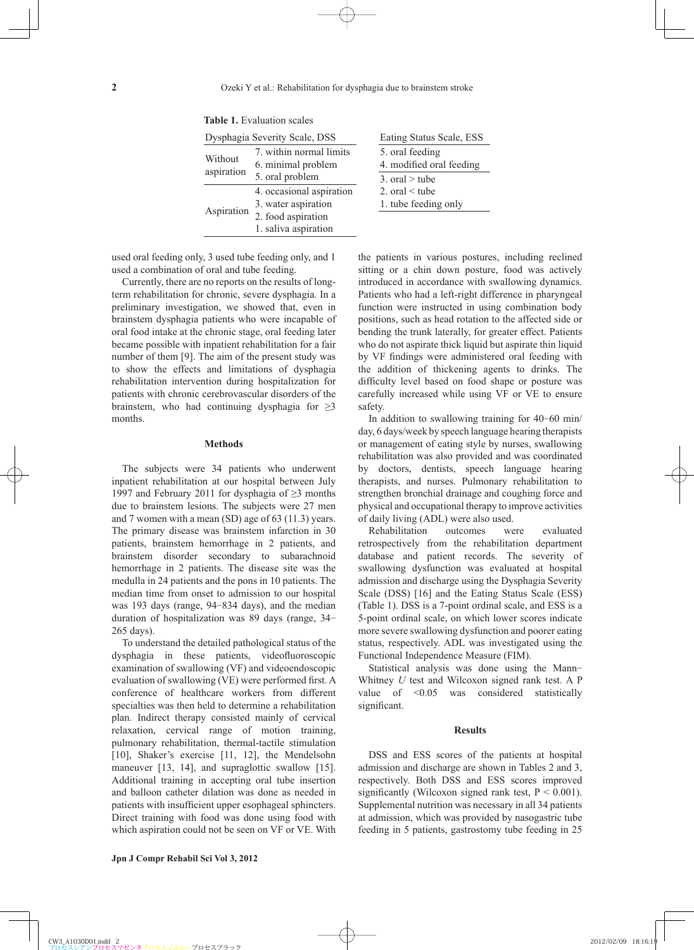| Dysphagia Severity Scale, DSS |                                               | Eating Status Scale, ESS                    |  |  |
|-------------------------------|-----------------------------------------------|---------------------------------------------|--|--|
| Without<br>aspiration         | 7. within normal limits<br>6. minimal problem | 5. oral feeding<br>4. modified oral feeding |  |  |
|                               | 5. oral problem                               | 3. oral $>$ tube                            |  |  |
| Aspiration                    | 4. occasional aspiration                      | 2. oral $\leq$ tube                         |  |  |
|                               | 3. water aspiration                           | 1. tube feeding only                        |  |  |
|                               | 2. food aspiration                            |                                             |  |  |
|                               | 1. saliva aspiration                          |                                             |  |  |

**Table 1.** Evaluation scales

used oral feeding only, 3 used tube feeding only, and 1 used a combination of oral and tube feeding.

Currently, there are no reports on the results of longterm rehabilitation for chronic, severe dysphagia. In a preliminary investigation, we showed that, even in brainstem dysphagia patients who were incapable of oral food intake at the chronic stage, oral feeding later became possible with inpatient rehabilitation for a fair number of them [9]. The aim of the present study was to show the effects and limitations of dysphagia rehabilitation intervention during hospitalization for patients with chronic cerebrovascular disorders of the brainstem, who had continuing dysphagia for  $\geq$ 3 months.

## **Methods**

The subjects were 34 patients who underwent inpatient rehabilitation at our hospital between July 1997 and February 2011 for dysphagia of ≥3 months due to brainstem lesions. The subjects were 27 men and 7 women with a mean (SD) age of 63 (11.3) years. The primary disease was brainstem infarction in 30 patients, brainstem hemorrhage in 2 patients, and brainstem disorder secondary to subarachnoid hemorrhage in 2 patients. The disease site was the medulla in 24 patients and the pons in 10 patients. The median time from onset to admission to our hospital was 193 days (range, 94-834 days), and the median duration of hospitalization was 89 days (range, 34- 265 days).

To understand the detailed pathological status of the dysphagia in these patients, videofluoroscopic examination of swallowing (VF) and videoendoscopic evaluation of swallowing (VE) were performed first. A conference of healthcare workers from different specialties was then held to determine a rehabilitation plan. Indirect therapy consisted mainly of cervical relaxation, cervical range of motion training, pulmonary rehabilitation, thermal-tactile stimulation [10], Shaker's exercise [11, 12], the Mendelsohn maneuver [13, 14], and supraglottic swallow [15]. Additional training in accepting oral tube insertion and balloon catheter dilation was done as needed in patients with insufficient upper esophageal sphincters. Direct training with food was done using food with which aspiration could not be seen on VF or VE. With the patients in various postures, including reclined sitting or a chin down posture, food was actively introduced in accordance with swallowing dynamics. Patients who had a left-right difference in pharyngeal function were instructed in using combination body positions, such as head rotation to the affected side or bending the trunk laterally, for greater effect. Patients who do not aspirate thick liquid but aspirate thin liquid by VF findings were administered oral feeding with the addition of thickening agents to drinks. The difficulty level based on food shape or posture was carefully increased while using VF or VE to ensure safety.

In addition to swallowing training for 40-60 min/ day, 6 days/week by speech language hearing therapists or management of eating style by nurses, swallowing rehabilitation was also provided and was coordinated by doctors, dentists, speech language hearing therapists, and nurses. Pulmonary rehabilitation to strengthen bronchial drainage and coughing force and physical and occupational therapy to improve activities of daily living (ADL) were also used.

Rehabilitation outcomes were evaluated retrospectively from the rehabilitation department database and patient records. The severity of swallowing dysfunction was evaluated at hospital admission and discharge using the Dysphagia Severity Scale (DSS) [16] and the Eating Status Scale (ESS) (Table 1). DSS is a 7-point ordinal scale, and ESS is a 5-point ordinal scale, on which lower scores indicate more severe swallowing dysfunction and poorer eating status, respectively. ADL was investigated using the Functional Independence Measure (FIM).

Statistical analysis was done using the Mann-Whitney *U* test and Wilcoxon signed rank test. A P value of <0.05 was considered statistically significant.

#### **Results**

DSS and ESS scores of the patients at hospital admission and discharge are shown in Tables 2 and 3, respectively. Both DSS and ESS scores improved significantly (Wilcoxon signed rank test,  $P < 0.001$ ). Supplemental nutrition was necessary in all 34 patients at admission, which was provided by nasogastric tube feeding in 5 patients, gastrostomy tube feeding in 25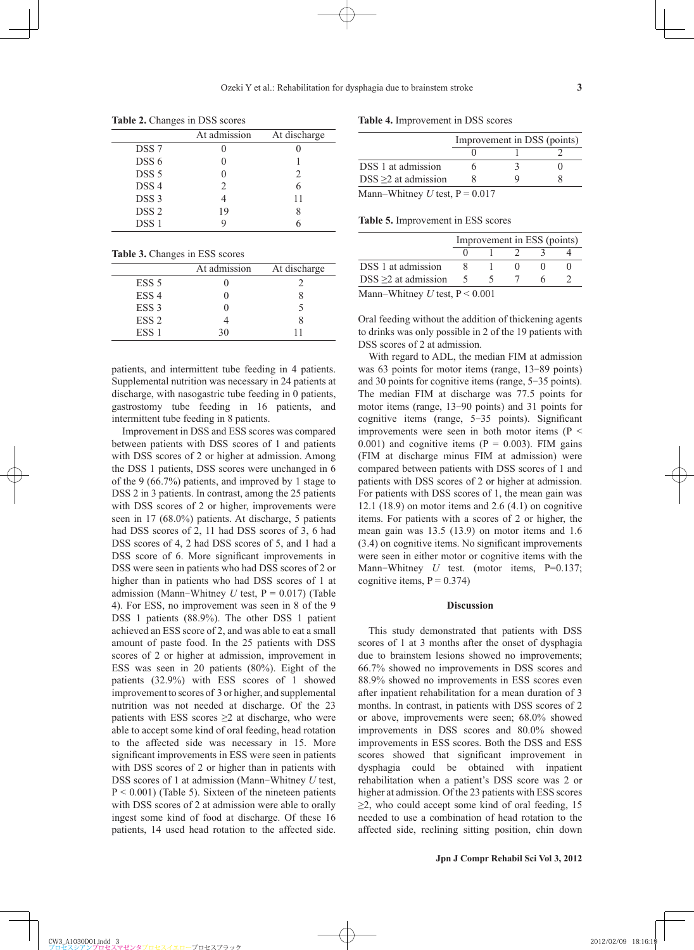**Table 2.** Changes in DSS scores

| At admission  | At discharge |
|---------------|--------------|
|               |              |
|               |              |
|               | 2            |
| $\mathcal{L}$ |              |
|               | 11           |
| 19            |              |
|               |              |
|               |              |

**Table 3.** Changes in ESS scores

|                  | At admission | At discharge |
|------------------|--------------|--------------|
| ESS <sub>5</sub> |              |              |
| ESS <sub>4</sub> |              |              |
| ESS <sub>3</sub> |              |              |
| ESS <sub>2</sub> |              |              |
| ESS <sub>1</sub> | 30           | 11           |

patients, and intermittent tube feeding in 4 patients. Supplemental nutrition was necessary in 24 patients at discharge, with nasogastric tube feeding in 0 patients, gastrostomy tube feeding in 16 patients, and intermittent tube feeding in 8 patients.

Improvement in DSS and ESS scores was compared between patients with DSS scores of 1 and patients with DSS scores of 2 or higher at admission. Among the DSS 1 patients, DSS scores were unchanged in 6 of the 9 (66.7%) patients, and improved by 1 stage to DSS 2 in 3 patients. In contrast, among the 25 patients with DSS scores of 2 or higher, improvements were seen in 17 (68.0%) patients. At discharge, 5 patients had DSS scores of 2, 11 had DSS scores of 3, 6 had DSS scores of 4, 2 had DSS scores of 5, and 1 had a DSS score of 6. More significant improvements in DSS were seen in patients who had DSS scores of 2 or higher than in patients who had DSS scores of 1 at admission (Mann-Whitney  $U$  test,  $P = 0.017$ ) (Table 4). For ESS, no improvement was seen in 8 of the 9 DSS 1 patients (88.9%). The other DSS 1 patient achieved an ESS score of 2, and was able to eat a small amount of paste food. In the 25 patients with DSS scores of 2 or higher at admission, improvement in ESS was seen in 20 patients (80%). Eight of the patients (32.9%) with ESS scores of 1 showed improvement to scores of 3 or higher, and supplemental nutrition was not needed at discharge. Of the 23 patients with ESS scores  $\geq 2$  at discharge, who were able to accept some kind of oral feeding, head rotation to the affected side was necessary in 15. More significant improvements in ESS were seen in patients with DSS scores of 2 or higher than in patients with DSS scores of 1 at admission (Mann-Whitney *U* test,  $P < 0.001$ ) (Table 5). Sixteen of the nineteen patients with DSS scores of 2 at admission were able to orally ingest some kind of food at discharge. Of these 16 patients, 14 used head rotation to the affected side.

**Table 4.** Improvement in DSS scores

|                                  |  | Improvement in DSS (points) |
|----------------------------------|--|-----------------------------|
|                                  |  |                             |
| DSS 1 at admission               |  |                             |
| $DSS \geq 2$ at admission        |  |                             |
| Mann–Whitney U test, $P = 0.017$ |  |                             |

**Table 5.** Improvement in ESS scores

|                                                 | Improvement in ESS (points) |  |  |  |  |
|-------------------------------------------------|-----------------------------|--|--|--|--|
|                                                 |                             |  |  |  |  |
| DSS 1 at admission                              |                             |  |  |  |  |
| DSS $\geq$ 2 at admission                       |                             |  |  |  |  |
| $M_{\text{com}}$ Whitnow Utage $D \times 0.001$ |                             |  |  |  |  |

Mann–Whitney *U* test, P < 0.001

Oral feeding without the addition of thickening agents to drinks was only possible in 2 of the 19 patients with DSS scores of 2 at admission.

With regard to ADL, the median FIM at admission was 63 points for motor items (range, 13-89 points) and 30 points for cognitive items (range, 5-35 points). The median FIM at discharge was 77.5 points for motor items (range, 13-90 points) and 31 points for cognitive items (range,  $5-35$  points). Significant improvements were seen in both motor items ( $P \le$ 0.001) and cognitive items ( $P = 0.003$ ). FIM gains (FIM at discharge minus FIM at admission) were compared between patients with DSS scores of 1 and patients with DSS scores of 2 or higher at admission. For patients with DSS scores of 1, the mean gain was 12.1 (18.9) on motor items and 2.6 (4.1) on cognitive items. For patients with a scores of 2 or higher, the mean gain was 13.5 (13.9) on motor items and 1.6  $(3.4)$  on cognitive items. No significant improvements were seen in either motor or cognitive items with the Mann-Whitney *U* test. (motor items, P=0.137; cognitive items,  $P = 0.374$ 

#### **Discussion**

This study demonstrated that patients with DSS scores of 1 at 3 months after the onset of dysphagia due to brainstem lesions showed no improvements; 66.7% showed no improvements in DSS scores and 88.9% showed no improvements in ESS scores even after inpatient rehabilitation for a mean duration of 3 months. In contrast, in patients with DSS scores of 2 or above, improvements were seen; 68.0% showed improvements in DSS scores and 80.0% showed improvements in ESS scores. Both the DSS and ESS scores showed that significant improvement in dysphagia could be obtained with inpatient rehabilitation when a patient's DSS score was 2 or higher at admission. Of the 23 patients with ESS scores  $\geq$ 2, who could accept some kind of oral feeding, 15 needed to use a combination of head rotation to the affected side, reclining sitting position, chin down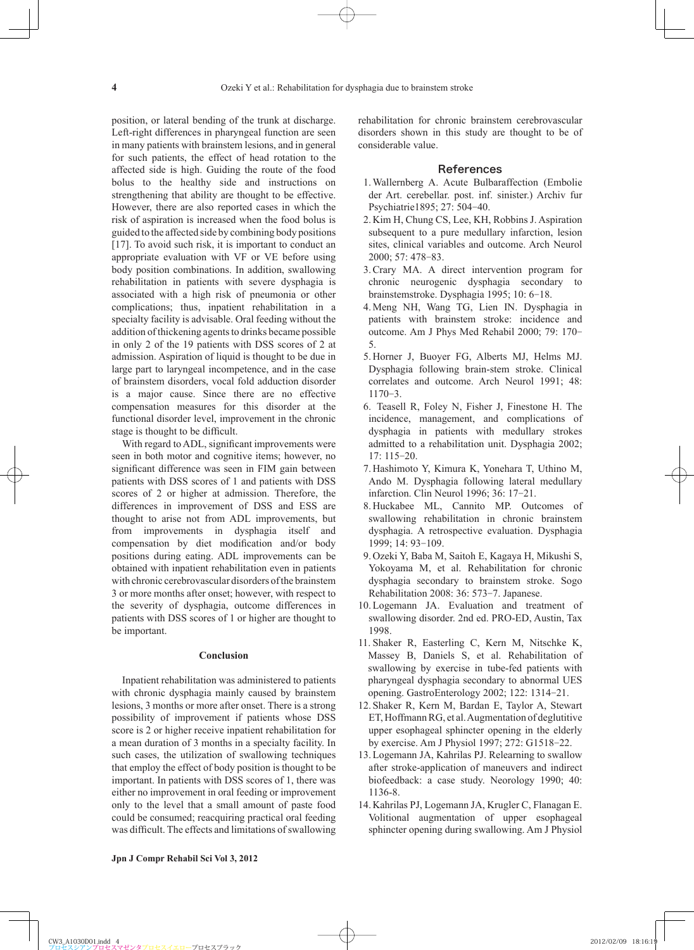position, or lateral bending of the trunk at discharge. Left-right differences in pharyngeal function are seen in many patients with brainstem lesions, and in general for such patients, the effect of head rotation to the affected side is high. Guiding the route of the food bolus to the healthy side and instructions on strengthening that ability are thought to be effective. However, there are also reported cases in which the risk of aspiration is increased when the food bolus is guided to the affected side by combining body positions [17]. To avoid such risk, it is important to conduct an appropriate evaluation with VF or VE before using body position combinations. In addition, swallowing rehabilitation in patients with severe dysphagia is associated with a high risk of pneumonia or other complications; thus, inpatient rehabilitation in a specialty facility is advisable. Oral feeding without the addition of thickening agents to drinks became possible in only 2 of the 19 patients with DSS scores of 2 at admission. Aspiration of liquid is thought to be due in large part to laryngeal incompetence, and in the case of brainstem disorders, vocal fold adduction disorder is a major cause. Since there are no effective compensation measures for this disorder at the functional disorder level, improvement in the chronic stage is thought to be difficult.

With regard to ADL, significant improvements were seen in both motor and cognitive items; however, no significant difference was seen in FIM gain between patients with DSS scores of 1 and patients with DSS scores of 2 or higher at admission. Therefore, the differences in improvement of DSS and ESS are thought to arise not from ADL improvements, but from improvements in dysphagia itself and compensation by diet modification and/or body positions during eating. ADL improvements can be obtained with inpatient rehabilitation even in patients with chronic cerebrovascular disorders of the brainstem 3 or more months after onset; however, with respect to the severity of dysphagia, outcome differences in patients with DSS scores of 1 or higher are thought to be important.

## **Conclusion**

Inpatient rehabilitation was administered to patients with chronic dysphagia mainly caused by brainstem lesions, 3 months or more after onset. There is a strong possibility of improvement if patients whose DSS score is 2 or higher receive inpatient rehabilitation for a mean duration of 3 months in a specialty facility. In such cases, the utilization of swallowing techniques that employ the effect of body position is thought to be important. In patients with DSS scores of 1, there was either no improvement in oral feeding or improvement only to the level that a small amount of paste food could be consumed; reacquiring practical oral feeding was difficult. The effects and limitations of swallowing

#### References

- 1 . Wallernberg A. Acute Bulbaraffection (Embolie der Art. cerebellar. post. inf. sinister.) Archiv fur Psychiatrie1895; 27: 504-40.
- 2 . Kim H, Chung CS, Lee, KH, Robbins J. Aspiration subsequent to a pure medullary infarction, lesion sites, clinical variables and outcome. Arch Neurol 2000; 57: 478-83.
- 3 . Crary MA. A direct intervention program for chronic neurogenic dysphagia secondary to brainstemstroke. Dysphagia 1995; 10: 6-18.
- 4 . Meng NH, Wang TG, Lien IN. Dysphagia in patients with brainstem stroke: incidence and outcome. Am J Phys Med Rehabil 2000; 79: 170- 5.
- 5 . Horner J, Buoyer FG, Alberts MJ, Helms MJ. Dysphagia following brain-stem stroke. Clinical correlates and outcome. Arch Neurol 1991; 48: 1170-3.
- 6 . Teasell R, Foley N, Fisher J, Finestone H. The incidence, management, and complications of dysphagia in patients with medullary strokes admitted to a rehabilitation unit. Dysphagia 2002; 17: 115-20.
- 7 . Hashimoto Y, Kimura K, Yonehara T, Uthino M, Ando M. Dysphagia following lateral medullary infarction. Clin Neurol 1996; 36: 17-21.
- 8 . Huckabee ML, Cannito MP. Outcomes of swallowing rehabilitation in chronic brainstem dysphagia. A retrospective evaluation. Dysphagia 1999; 14: 93-109.
- 9 . Ozeki Y, Baba M, Saitoh E, Kagaya H, Mikushi S, Yokoyama M, et al. Rehabilitation for chronic dysphagia secondary to brainstem stroke. Sogo Rehabilitation 2008: 36: 573-7. Japanese.
- 10 . Logemann JA. Evaluation and treatment of swallowing disorder. 2nd ed. PRO-ED, Austin, Tax 1998.
- 11 . Shaker R, Easterling C, Kern M, Nitschke K, Massey B, Daniels S, et al. Rehabilitation of swallowing by exercise in tube-fed patients with pharyngeal dysphagia secondary to abnormal UES opening. GastroEnterology 2002; 122: 1314-21.
- 12 . Shaker R, Kern M, Bardan E, Taylor A, Stewart ET, Hoffmann RG, et al. Augmentation of deglutitive upper esophageal sphincter opening in the elderly by exercise. Am J Physiol 1997; 272: G1518-22.
- 13 . Logemann JA, Kahrilas PJ. Relearning to swallow after stroke-application of maneuvers and indirect biofeedback: a case study. Neorology 1990; 40: 1136-8.
- 14 . Kahrilas PJ, Logemann JA, Krugler C, Flanagan E. Volitional augmentation of upper esophageal sphincter opening during swallowing. Am J Physiol